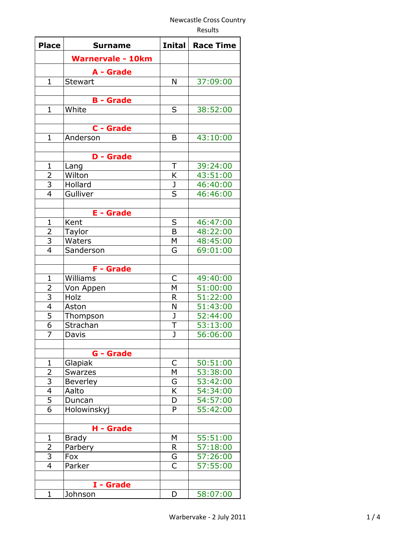## Newcastle Cross Country

|                |                              | <b>Newcastle Cross Country</b><br>Results |                  |
|----------------|------------------------------|-------------------------------------------|------------------|
| <b>Place</b>   | <b>Surname</b>               | <b>Inital</b>                             | <b>Race Time</b> |
|                | <b>Warnervale - 10km</b>     |                                           |                  |
|                | A - Grade                    |                                           |                  |
| $\mathbf{1}$   | <b>Stewart</b>               | N                                         | 37:09:00         |
|                |                              |                                           |                  |
|                | <b>B</b> - Grade             |                                           |                  |
| $\mathbf{1}$   | White                        | S                                         | 38:52:00         |
|                |                              |                                           |                  |
|                | C - Grade                    |                                           |                  |
| $\mathbf{1}$   | Anderson                     | B                                         | 43:10:00         |
|                | <b>D</b> - Grade             |                                           |                  |
| $\mathbf{1}$   | Lang                         | Τ                                         | 39:24:00         |
| 2              | Wilton                       | Κ                                         | 43:51:00         |
| $\overline{3}$ | Hollard                      | J                                         | 46:40:00         |
| $\overline{4}$ | Gulliver                     | S                                         | 46:46:00         |
|                |                              |                                           |                  |
|                | <b>E</b> - Grade             |                                           |                  |
| $\mathbf 1$    | Kent                         | S                                         | 46:47:00         |
| $\overline{2}$ | Taylor                       | B                                         | 48:22:00         |
| $\overline{3}$ | Waters                       | M                                         | 48:45:00         |
| 4              | Sanderson                    | G                                         | 69:01:00         |
|                |                              |                                           |                  |
| $\mathbf{1}$   | <b>F</b> - Grade<br>Williams | C                                         | 49:40:00         |
|                | Von Appen                    | M                                         | 51:00:00         |
| $\frac{2}{3}$  | Holz                         | R                                         | 51:22:00         |
| $\overline{4}$ | Aston                        | N                                         | 51:43:00         |
| 5              | Thompson                     | J                                         | 52:44:00         |
| 6              | Strachan                     | Τ                                         | 53:13:00         |
| 7              | Davis                        | J                                         | 56:06:00         |
|                |                              |                                           |                  |
|                | <b>G</b> - Grade             |                                           |                  |
| 1              | Glapiak                      | С                                         | 50:51:00         |
| $\overline{2}$ | <b>Swarzes</b>               | M                                         | 53:38:00         |
| $\frac{3}{4}$  | Beverley                     | G                                         | 53:42:00         |
|                | Aalto                        | K                                         | 54:34:00         |
|                | Duncan                       | D<br>P                                    | 54:57:00         |
| 6              | Holowinskyj                  |                                           | 55:42:00         |
|                | H - Grade                    |                                           |                  |
| $\mathbf{1}$   | <b>Brady</b>                 | M                                         | 55:51:00         |
| 2              | Parbery                      | R                                         | 57:18:00         |
| 3              | Fox                          | G                                         | 57:26:00         |
| 4              | Parker                       | $\overline{C}$                            | 57:55:00         |

**I - Grade**

1 Johnson D 58:07:00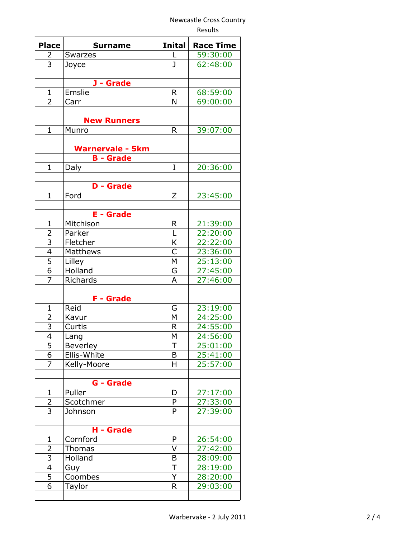## Newcastle Cross Country

|                                  |                         |               | Results              |  |
|----------------------------------|-------------------------|---------------|----------------------|--|
| <b>Place</b>                     | <b>Surname</b>          | <b>Inital</b> | <b>Race Time</b>     |  |
| 2                                | <b>Swarzes</b>          | L             | 59:30:00             |  |
| 3                                | Joyce                   | $\mathbf{J}$  | 62:48:00             |  |
|                                  |                         |               |                      |  |
|                                  | J - Grade               |               |                      |  |
| 1                                | Emslie                  | R             | 68:59:00             |  |
| $\overline{2}$                   | Carr                    | N             | 69:00:00             |  |
|                                  |                         |               |                      |  |
|                                  | <b>New Runners</b>      |               |                      |  |
| $\overline{1}$                   | Munro                   | R             | 39:07:00             |  |
|                                  |                         |               |                      |  |
|                                  | <b>Warnervale - 5km</b> |               |                      |  |
|                                  | <b>B</b> - Grade        |               |                      |  |
| $\mathbf{1}$                     | Daly                    | I             | 20:36:00             |  |
|                                  |                         |               |                      |  |
|                                  | <b>D</b> - Grade        |               |                      |  |
| $\mathbf{1}$                     | Ford                    | Z             | 23:45:00             |  |
|                                  |                         |               |                      |  |
|                                  | <b>E</b> - Grade        |               |                      |  |
| $\mathbf{1}$                     | Mitchison               | R             | 21:39:00             |  |
| $\overline{c}$                   | Parker                  | L             | 22:20:00             |  |
|                                  | Fletcher                | K             | 22:22:00             |  |
| $\frac{3}{4}$                    | Matthews                | C             | 23:36:00             |  |
| $\overline{5}$                   | Lilley                  | M             | 25:13:00             |  |
| $\overline{6}$                   | Holland                 | G             | 27:45:00             |  |
| 7                                | <b>Richards</b>         | A             | 27:46:00             |  |
|                                  |                         |               |                      |  |
|                                  | <b>F</b> - Grade        |               |                      |  |
| $\mathbf{1}$                     | Reid                    | G             | 23:19:00             |  |
| $\overline{2}$                   | Kavur                   | M             | 24:25:00             |  |
| $\overline{3}$                   | Curtis                  | R             | 24:55:00             |  |
| 4                                |                         | М             | 24:56:00             |  |
| $\overline{5}$                   | Lang<br>Beverley        | T             | 25:01:00             |  |
| $\overline{6}$                   | Ellis-White             | B             | 25:41:00             |  |
| $\overline{7}$                   | Kelly-Moore             | Η             | 25:57:00             |  |
|                                  |                         |               |                      |  |
|                                  | <b>G</b> - Grade        |               |                      |  |
| $\mathbf 1$                      | Puller                  |               |                      |  |
|                                  | Scotchmer               | D<br>P        | 27:17:00<br>27:33:00 |  |
| $\overline{2}$<br>$\overline{3}$ |                         | P             |                      |  |
|                                  | Johnson                 |               | 27:39:00             |  |
|                                  |                         |               |                      |  |
|                                  | H - Grade               |               |                      |  |
| 1                                | Cornford                | P<br>V        | 26:54:00             |  |
| $\overline{2}$                   | Thomas                  |               | 27:42:00             |  |
|                                  | Holland                 | B             | 28:09:00             |  |
| $\frac{3}{4}$                    | Guy                     | Τ             | 28:19:00             |  |
|                                  | Coombes                 | Ý             | 28:20:00             |  |
| 6                                | Taylor                  | R             | 29:03:00             |  |
|                                  |                         |               |                      |  |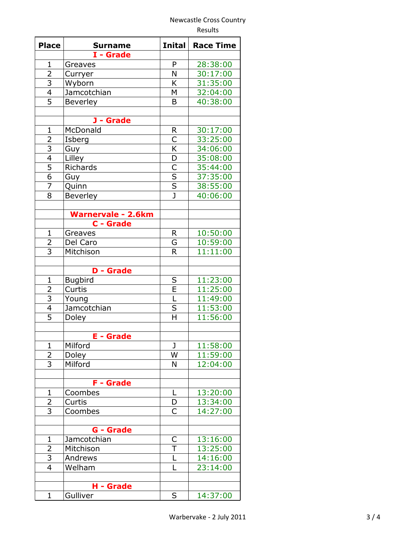## Newcastle Cross Country Results

| <b>Place</b>   | <b>Surname</b>            | <b>Inital</b>                     | <b>Race Time</b> |
|----------------|---------------------------|-----------------------------------|------------------|
|                | I - Grade                 |                                   |                  |
| $\mathbf{1}$   | Greaves                   | P                                 | 28:38:00         |
| $\overline{2}$ | Curryer                   | N                                 | 30:17:00         |
| $\overline{3}$ | Wyborn                    | K                                 | 31:35:00         |
| $\overline{4}$ | Jamcotchian               | M                                 | 32:04:00         |
| $\overline{5}$ | Beverley                  | B                                 | 40:38:00         |
|                |                           |                                   |                  |
|                | J - Grade                 |                                   |                  |
| $\mathbf{1}$   | McDonald                  | R                                 | 30:17:00         |
| $\overline{c}$ | Isberg                    | C                                 | 33:25:00         |
| $\overline{3}$ | Guy                       | $\overline{\mathsf{K}}$           | 34:06:00         |
| $\overline{4}$ | Lilley                    | $\overline{D}$                    | 35:08:00         |
| $\overline{5}$ | Richards                  |                                   | 35:44:00         |
| $\overline{6}$ | Guy                       | $rac{\overline{C}}{\overline{S}}$ | 37:35:00         |
| $\overline{7}$ | Quinn                     |                                   | 38:55:00         |
| 8              | Beverley                  | $rac{S}{J}$                       | 40:06:00         |
|                |                           |                                   |                  |
|                | <b>Warnervale - 2.6km</b> |                                   |                  |
|                | <b>C</b> - Grade          |                                   |                  |
| $\mathbf{1}$   | Greaves                   | R                                 | 10:50:00         |
| $\overline{2}$ | Del Caro                  | G                                 | 10:59:00         |
| $\overline{3}$ | Mitchison                 | R                                 | 11:11:00         |
|                |                           |                                   |                  |
|                | <b>D</b> - Grade          |                                   |                  |
| $\mathbf 1$    | <b>Bugbird</b>            |                                   | 11:23:00         |
| $\overline{2}$ | Curtis                    | $rac{S}{E}$                       | 11:25:00         |
| 3              | Young                     | L                                 | 11:49:00         |
| $\overline{4}$ | Jamcotchian               | $\overline{\mathsf{s}}$           | 11:53:00         |
| $\overline{5}$ | Doley                     | H                                 | 11:56:00         |
|                |                           |                                   |                  |
|                | <b>E</b> - Grade          |                                   |                  |
| $\mathbf{1}$   | Milford                   | J                                 | 11:58:00         |
| 2              | Doley                     | W                                 | 11:59:00         |
| $\overline{3}$ | Milford                   | N                                 | 12:04:00         |
|                |                           |                                   |                  |
|                | <b>F</b> - Grade          |                                   |                  |
| $\mathbf{1}$   | Coombes                   | L                                 | 13:20:00         |
| $\overline{2}$ | Curtis                    | D                                 | 13:34:00         |
| 3              | Coombes                   | C                                 | 14:27:00         |
|                |                           |                                   |                  |
|                | <b>G</b> - Grade          |                                   |                  |
| 1              | Jamcotchian               |                                   | 13:16:00         |
| $\overline{2}$ | Mitchison                 | $\frac{\mathsf{C}}{\mathsf{T}}$   | 13:25:00         |
| $\overline{3}$ | Andrews                   | L                                 | 14:16:00         |
| $\overline{4}$ | Welham                    | L                                 | 23:14:00         |
|                |                           |                                   |                  |
|                | H - Grade                 |                                   |                  |
| $\mathbf 1$    | Gulliver                  | S                                 | 14:37:00         |
|                |                           |                                   |                  |